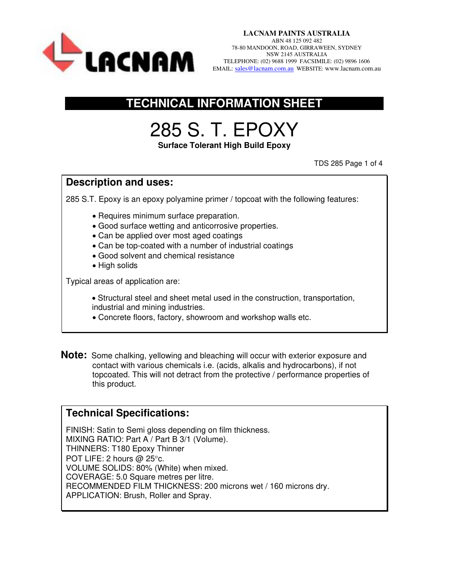

### **TECHNICAL INFORMATION SHEET**

# 285 S. T. EPOXY

**Surface Tolerant High Build Epoxy** 

TDS 285 Page 1 of 4

#### **Description and uses:**

285 S.T. Epoxy is an epoxy polyamine primer / topcoat with the following features:

- Requires minimum surface preparation.
- Good surface wetting and anticorrosive properties.
- Can be applied over most aged coatings
- Can be top-coated with a number of industrial coatings
- Good solvent and chemical resistance
- High solids

Typical areas of application are:

- Structural steel and sheet metal used in the construction, transportation, industrial and mining industries.
- Concrete floors, factory, showroom and workshop walls etc.
- **Note:** Some chalking, yellowing and bleaching will occur with exterior exposure and contact with various chemicals i.e. (acids, alkalis and hydrocarbons), if not topcoated. This will not detract from the protective / performance properties of this product.

#### **Technical Specifications:**

FINISH: Satin to Semi gloss depending on film thickness. MIXING RATIO: Part A / Part B 3/1 (Volume). THINNERS: T180 Epoxy Thinner POT LIFE: 2 hours  $@$  25 $^{\circ}$ c. VOLUME SOLIDS: 80% (White) when mixed. COVERAGE: 5.0 Square metres per litre. RECOMMENDED FILM THICKNESS: 200 microns wet / 160 microns dry. APPLICATION: Brush, Roller and Spray.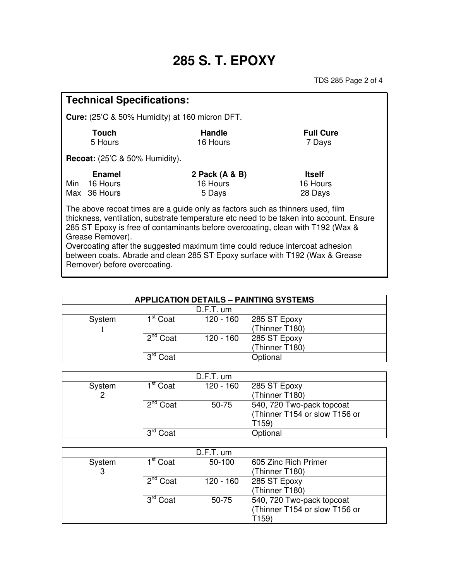# **285 S. T. EPOXY**

TDS 285 Page 2 of 4

| <b>Technical Specifications:</b>                                                                                                                                                                                                                                                                                                                                                                                                                 |                                       |                |                  |  |  |
|--------------------------------------------------------------------------------------------------------------------------------------------------------------------------------------------------------------------------------------------------------------------------------------------------------------------------------------------------------------------------------------------------------------------------------------------------|---------------------------------------|----------------|------------------|--|--|
| <b>Cure:</b> (25'C & 50% Humidity) at 160 micron DFT.                                                                                                                                                                                                                                                                                                                                                                                            |                                       |                |                  |  |  |
| <b>Touch</b>                                                                                                                                                                                                                                                                                                                                                                                                                                     |                                       | <b>Handle</b>  | <b>Full Cure</b> |  |  |
|                                                                                                                                                                                                                                                                                                                                                                                                                                                  | 5 Hours                               | 16 Hours       | 7 Days           |  |  |
|                                                                                                                                                                                                                                                                                                                                                                                                                                                  | <b>Recoat:</b> (25'C & 50% Humidity). |                |                  |  |  |
|                                                                                                                                                                                                                                                                                                                                                                                                                                                  | <b>Enamel</b>                         | 2 Pack (A & B) | <b>Itself</b>    |  |  |
| Min                                                                                                                                                                                                                                                                                                                                                                                                                                              | 16 Hours                              | 16 Hours       | 16 Hours         |  |  |
|                                                                                                                                                                                                                                                                                                                                                                                                                                                  | Max 36 Hours                          | 5 Days         | 28 Days          |  |  |
| The above recoat times are a guide only as factors such as thinners used, film<br>thickness, ventilation, substrate temperature etc need to be taken into account. Ensure<br>285 ST Epoxy is free of contaminants before overcoating, clean with T192 (Wax &<br>Grease Remover).<br>Overcoating after the suggested maximum time could reduce intercoat adhesion<br>between coats. Abrade and clean 285 ST Epoxy surface with T192 (Wax & Grease |                                       |                |                  |  |  |
| Remover) before overcoating.                                                                                                                                                                                                                                                                                                                                                                                                                     |                                       |                |                  |  |  |

| <b>APPLICATION DETAILS - PAINTING SYSTEMS</b> |                                 |             |                      |
|-----------------------------------------------|---------------------------------|-------------|----------------------|
| $D.F.T.$ um                                   |                                 |             |                      |
| System                                        | 1 <sup>st</sup> Coat            | $120 - 160$ | $\vert$ 285 ST Epoxy |
|                                               |                                 |             | (Thinner T180)       |
|                                               | $\overline{2}^{\text{nd}}$ Coat | $120 - 160$ | 285 ST Epoxy         |
|                                               |                                 |             | (Thinner T180)       |
|                                               | ord<br>Coat                     |             | Optional             |

| $D.F.T.$ um |                      |             |                               |  |
|-------------|----------------------|-------------|-------------------------------|--|
| System      | 1 <sup>st</sup> Coat | $120 - 160$ | 285 ST Epoxy                  |  |
|             |                      |             | (Thinner T180)                |  |
|             | $2^{nd}$ Coat        | 50-75       | 540, 720 Two-pack topcoat     |  |
|             |                      |             | (Thinner T154 or slow T156 or |  |
|             |                      |             | T159)                         |  |
|             | ord<br>Coat          |             | Optional                      |  |

|        |                      | $D.F.T.$ um |                               |
|--------|----------------------|-------------|-------------------------------|
| System | 1 <sup>st</sup> Coat | 50-100      | 605 Zinc Rich Primer          |
| 3      |                      |             | (Thinner T180)                |
|        | 2 <sup>nd</sup> Coat | $120 - 160$ | 285 ST Epoxy                  |
|        |                      |             | (Thinner T180)                |
|        | 3 <sup>rd</sup> Coat | $50 - 75$   | 540, 720 Two-pack topcoat     |
|        |                      |             | (Thinner T154 or slow T156 or |
|        |                      |             | T159)                         |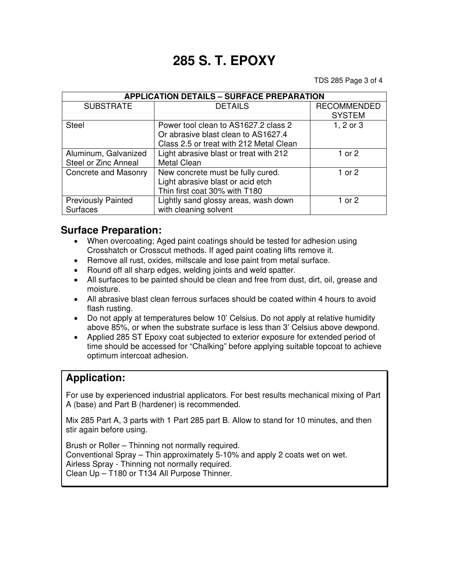## **285 S. T. EPOXY**

TDS 285 Page 3 of 4

| <b>APPLICATION DETAILS - SURFACE PREPARATION</b> |                                         |                    |  |  |
|--------------------------------------------------|-----------------------------------------|--------------------|--|--|
| <b>SUBSTRATE</b>                                 | <b>DETAILS</b>                          | <b>RECOMMENDED</b> |  |  |
|                                                  |                                         | <b>SYSTEM</b>      |  |  |
| <b>Steel</b>                                     | Power tool clean to AS1627.2 class 2    | 1, 2 or 3          |  |  |
|                                                  | Or abrasive blast clean to AS1627.4     |                    |  |  |
|                                                  | Class 2.5 or treat with 212 Metal Clean |                    |  |  |
| Aluminum, Galvanized                             | Light abrasive blast or treat with 212  | 1 or 2             |  |  |
| Steel or Zinc Anneal                             | <b>Metal Clean</b>                      |                    |  |  |
| Concrete and Masonry                             | New concrete must be fully cured.       | 1 or $2$           |  |  |
|                                                  | Light abrasive blast or acid etch       |                    |  |  |
|                                                  | Thin first coat 30% with T180           |                    |  |  |
| <b>Previously Painted</b>                        | Lightly sand glossy areas, wash down    | 1 or 2             |  |  |
| <b>Surfaces</b>                                  | with cleaning solvent                   |                    |  |  |

#### **Surface Preparation:**

- When overcoating; Aged paint coatings should be tested for adhesion using Crosshatch or Crosscut methods. If aged paint coating lifts remove it.
- Remove all rust, oxides, millscale and lose paint from metal surface.
- Round off all sharp edges, welding joints and weld spatter.
- All surfaces to be painted should be clean and free from dust, dirt, oil, grease and moisture.
- All abrasive blast clean ferrous surfaces should be coated within 4 hours to avoid flash rusting.
- Do not apply at temperatures below 10' Celsius. Do not apply at relative humidity above 85%, or when the substrate surface is less than 3' Celsius above dewpond.
- Applied 285 ST Epoxy coat subjected to exterior exposure for extended period of time should be accessed for "Chalking" before applying suitable topcoat to achieve optimum intercoat adhesion.

#### **Application:**

For use by experienced industrial applicators. For best results mechanical mixing of Part A (base) and Part B (hardener) is recommended.

Mix 285 Part A, 3 parts with 1 Part 285 part B. Allow to stand for 10 minutes, and then stir again before using.

Brush or Roller – Thinning not normally required. Conventional Spray – Thin approximately 5-10% and apply 2 coats wet on wet. Airless Spray - Thinning not normally required. Clean Up – T180 or T134 All Purpose Thinner.